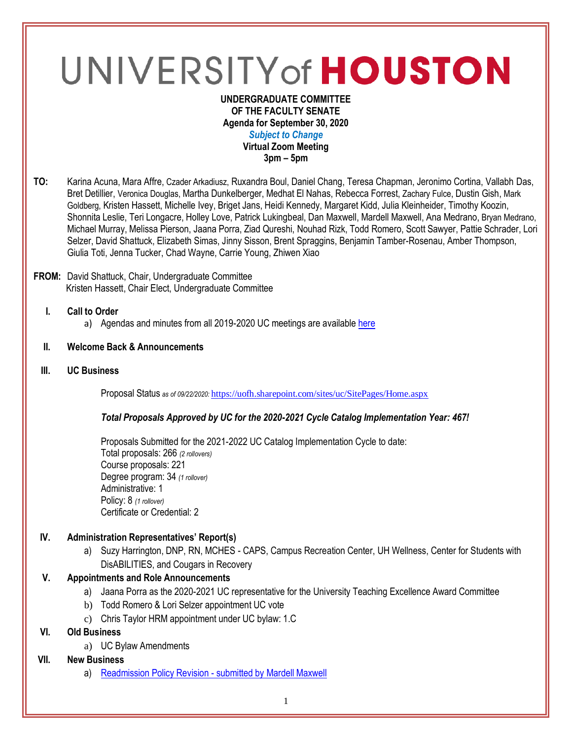# UNIVERSITY of HOUSTON

#### **UNDERGRADUATE COMMITTEE OF THE FACULTY SENATE Agenda for September 30, 2020** *Subject to Change* **Virtual Zoom Meeting 3pm – 5pm**

**TO:** Karina Acuna, Mara Affre, Czader Arkadiusz, Ruxandra Boul, Daniel Chang, Teresa Chapman, Jeronimo Cortina, Vallabh Das, Bret Detillier, Veronica Douglas, Martha Dunkelberger, Medhat El Nahas, Rebecca Forrest, Zachary Fulce, Dustin Gish, Mark Goldberg, Kristen Hassett, Michelle Ivey, Briget Jans, Heidi Kennedy, Margaret Kidd, Julia Kleinheider, Timothy Koozin, Shonnita Leslie, Teri Longacre, Holley Love, Patrick Lukingbeal, Dan Maxwell, Mardell Maxwell, Ana Medrano, Bryan Medrano, Michael Murray, Melissa Pierson, Jaana Porra, Ziad Qureshi, Nouhad Rizk, Todd Romero, Scott Sawyer, Pattie Schrader, Lori Selzer, David Shattuck, Elizabeth Simas, Jinny Sisson, Brent Spraggins, Benjamin Tamber-Rosenau, Amber Thompson, Giulia Toti, Jenna Tucker, Chad Wayne, Carrie Young, Zhiwen Xiao

### **FROM:** David Shattuck, Chair, Undergraduate Committee Kristen Hassett, Chair Elect, Undergraduate Committee

- **I. Call to Order**
	- a) Agendas and minutes from all 2019-2020 UC meetings are available [here](https://uh.edu/undergraduate-committee/meetings/agendas-minutes/ay-1920/)

## **II. Welcome Back & Announcements**

**III. UC Business**

Proposal Status *as of 09/22/2020:* <https://uofh.sharepoint.com/sites/uc/SitePages/Home.aspx>

### *Total Proposals Approved by UC for the 2020-2021 Cycle Catalog Implementation Year: 467!*

Proposals Submitted for the 2021-2022 UC Catalog Implementation Cycle to date: Total proposals: 266 *(2 rollovers)* Course proposals: 221 Degree program: 34 *(1 rollover)* Administrative: 1 Policy: 8 *(1 rollover)* Certificate or Credential: 2

## **IV. Administration Representatives' Report(s)**

a) Suzy Harrington, DNP, RN, MCHES - CAPS, Campus Recreation Center, UH Wellness, Center for Students with DisABILITIES, and Cougars in Recovery

## **V. Appointments and Role Announcements**

- a) Jaana Porra as the 2020-2021 UC representative for the University Teaching Excellence Award Committee
- b) Todd Romero & Lori Selzer appointment UC vote
- c) Chris Taylor HRM appointment under UC bylaw: 1.C

# **VI. Old Business**

a) UC Bylaw Amendments

## **VII. New Business**

a) [Readmission Policy Revision -](https://uofh.sharepoint.com/sites/uc/Lists/ProposalSubmissionAndTracking/DispForm.aspx?ID=2058) submitted by Mardell Maxwell